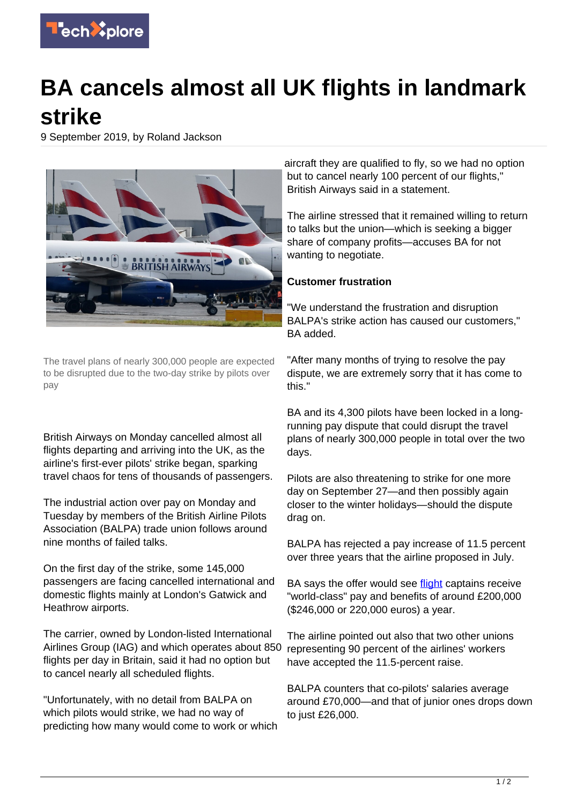

## **BA cancels almost all UK flights in landmark strike**

9 September 2019, by Roland Jackson



The travel plans of nearly 300,000 people are expected to be disrupted due to the two-day strike by pilots over pay

British Airways on Monday cancelled almost all flights departing and arriving into the UK, as the airline's first-ever pilots' strike began, sparking travel chaos for tens of thousands of passengers.

The industrial action over pay on Monday and Tuesday by members of the British Airline Pilots Association (BALPA) trade union follows around nine months of failed talks.

On the first day of the strike, some 145,000 passengers are facing cancelled international and domestic flights mainly at London's Gatwick and Heathrow airports.

The carrier, owned by London-listed International Airlines Group (IAG) and which operates about 850 flights per day in Britain, said it had no option but to cancel nearly all scheduled flights.

"Unfortunately, with no detail from BALPA on which pilots would strike, we had no way of predicting how many would come to work or which aircraft they are qualified to fly, so we had no option but to cancel nearly 100 percent of our flights," British Airways said in a statement.

The airline stressed that it remained willing to return to talks but the union—which is seeking a bigger share of company profits—accuses BA for not wanting to negotiate.

## **Customer frustration**

"We understand the frustration and disruption BALPA's strike action has caused our customers," BA added.

"After many months of trying to resolve the pay dispute, we are extremely sorry that it has come to this."

BA and its 4,300 pilots have been locked in a longrunning pay dispute that could disrupt the travel plans of nearly 300,000 people in total over the two days.

Pilots are also threatening to strike for one more day on September 27—and then possibly again closer to the winter holidays—should the dispute drag on.

BALPA has rejected a pay increase of 11.5 percent over three years that the airline proposed in July.

BA says the offer would see [flight](https://techxplore.com/tags/flight/) captains receive "world-class" pay and benefits of around £200,000 (\$246,000 or 220,000 euros) a year.

The airline pointed out also that two other unions representing 90 percent of the airlines' workers have accepted the 11.5-percent raise.

BALPA counters that co-pilots' salaries average around £70,000—and that of junior ones drops down to just £26,000.